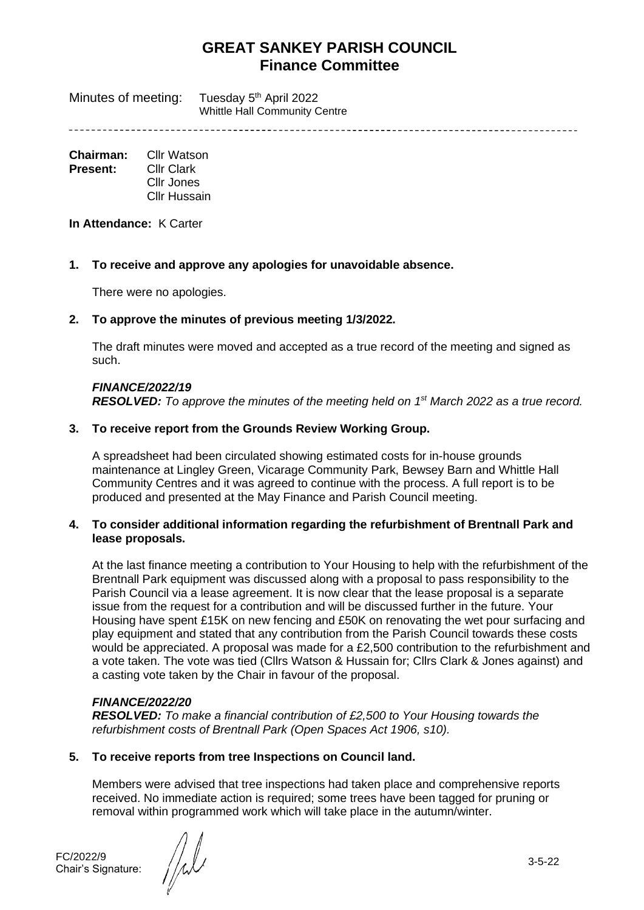Minutes of meeting: Tuesday 5<sup>th</sup> April 2022 Whittle Hall Community Centre

**Chairman:** Cllr Watson **Present:** Cllr Clark Cllr Jones Cllr Hussain

**In Attendance:** K Carter

### **1. To receive and approve any apologies for unavoidable absence.**

There were no apologies.

### **2. To approve the minutes of previous meeting 1/3/2022.**

The draft minutes were moved and accepted as a true record of the meeting and signed as such.

### *FINANCE/2022/19*

*RESOLVED: To approve the minutes of the meeting held on 1 st March 2022 as a true record.*

### **3. To receive report from the Grounds Review Working Group.**

A spreadsheet had been circulated showing estimated costs for in-house grounds maintenance at Lingley Green, Vicarage Community Park, Bewsey Barn and Whittle Hall Community Centres and it was agreed to continue with the process. A full report is to be produced and presented at the May Finance and Parish Council meeting.

### **4. To consider additional information regarding the refurbishment of Brentnall Park and lease proposals.**

At the last finance meeting a contribution to Your Housing to help with the refurbishment of the Brentnall Park equipment was discussed along with a proposal to pass responsibility to the Parish Council via a lease agreement. It is now clear that the lease proposal is a separate issue from the request for a contribution and will be discussed further in the future. Your Housing have spent £15K on new fencing and £50K on renovating the wet pour surfacing and play equipment and stated that any contribution from the Parish Council towards these costs would be appreciated. A proposal was made for a £2,500 contribution to the refurbishment and a vote taken. The vote was tied (Cllrs Watson & Hussain for; Cllrs Clark & Jones against) and a casting vote taken by the Chair in favour of the proposal.

# *FINANCE/2022/20*

*RESOLVED: To make a financial contribution of £2,500 to Your Housing towards the refurbishment costs of Brentnall Park (Open Spaces Act 1906, s10).*

# **5. To receive reports from tree Inspections on Council land.**

Members were advised that tree inspections had taken place and comprehensive reports received. No immediate action is required; some trees have been tagged for pruning or removal within programmed work which will take place in the autumn/winter.

FC/2022/9

FC/2022/9<br>Chair's Signature:  $\left/ \middle/ \downarrow \right/ \downarrow$  3-5-22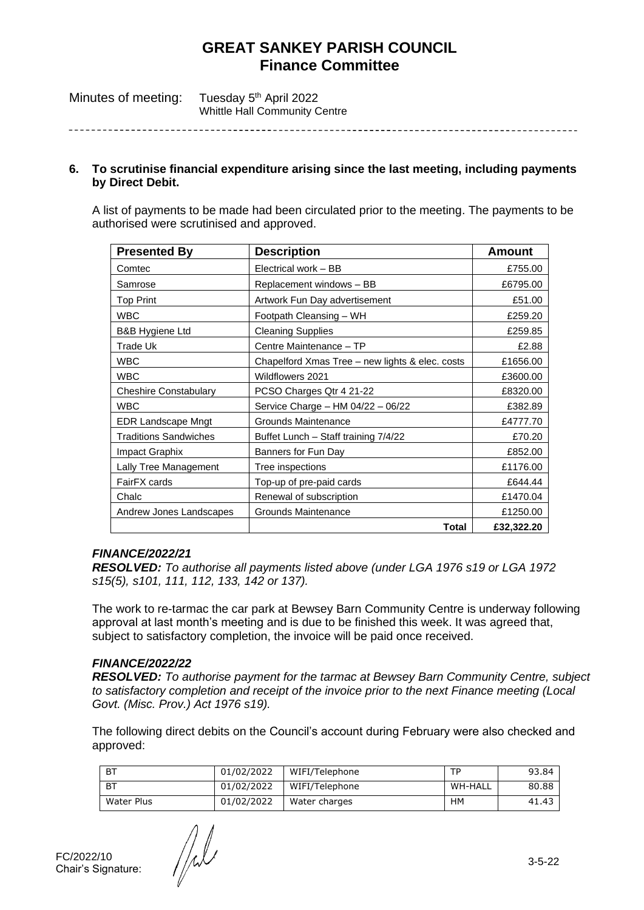| Minutes of meeting: | Tuesday 5 <sup>th</sup> April 2022   |
|---------------------|--------------------------------------|
|                     | <b>Whittle Hall Community Centre</b> |

#### **6. To scrutinise financial expenditure arising since the last meeting, including payments by Direct Debit.**

A list of payments to be made had been circulated prior to the meeting. The payments to be authorised were scrutinised and approved.

| <b>Presented By</b>          | <b>Description</b>                              | <b>Amount</b> |
|------------------------------|-------------------------------------------------|---------------|
| Comtec                       | Electrical work - BB                            | £755.00       |
| Samrose                      | Replacement windows - BB                        | £6795.00      |
| <b>Top Print</b>             | Artwork Fun Day advertisement                   | £51.00        |
| <b>WBC</b>                   | Footpath Cleansing - WH                         | £259.20       |
| <b>B&amp;B Hygiene Ltd</b>   | <b>Cleaning Supplies</b>                        | £259.85       |
| Trade Uk                     | Centre Maintenance - TP                         | £2.88         |
| <b>WBC</b>                   | Chapelford Xmas Tree - new lights & elec. costs | £1656.00      |
| <b>WBC</b>                   | Wildflowers 2021                                | £3600.00      |
| <b>Cheshire Constabulary</b> | PCSO Charges Qtr 4 21-22                        | £8320.00      |
| <b>WBC</b>                   | Service Charge - HM 04/22 - 06/22               | £382.89       |
| <b>EDR Landscape Mngt</b>    | Grounds Maintenance                             | £4777.70      |
| <b>Traditions Sandwiches</b> | Buffet Lunch - Staff training 7/4/22            | £70.20        |
| Impact Graphix               | Banners for Fun Day                             | £852.00       |
| Lally Tree Management        | Tree inspections                                | £1176.00      |
| FairFX cards                 | Top-up of pre-paid cards                        | £644.44       |
| Chalc                        | Renewal of subscription                         | £1470.04      |
| Andrew Jones Landscapes      | Grounds Maintenance                             | £1250.00      |
|                              | Total                                           | £32,322.20    |

# *FINANCE/2022/21*

*RESOLVED: To authorise all payments listed above (under LGA 1976 s19 or LGA 1972 s15(5), s101, 111, 112, 133, 142 or 137).*

The work to re-tarmac the car park at Bewsey Barn Community Centre is underway following approval at last month's meeting and is due to be finished this week. It was agreed that, subject to satisfactory completion, the invoice will be paid once received.

# *FINANCE/2022/22*

*RESOLVED: To authorise payment for the tarmac at Bewsey Barn Community Centre, subject to satisfactory completion and receipt of the invoice prior to the next Finance meeting (Local Govt. (Misc. Prov.) Act 1976 s19).*

The following direct debits on the Council's account during February were also checked and approved:

| <b>BT</b>  | 01/02/2022 | WIFI/Telephone | ТP      | 93.84 |
|------------|------------|----------------|---------|-------|
| <b>BT</b>  | 01/02/2022 | WIFI/Telephone | WH-HALL | 80.88 |
| Water Plus | 01/02/2022 | Water charges  | ΗМ      | 41.43 |

FC/2022/10

FC/2022/10<br>Chair's Signature:  $\left\{\begin{matrix} 1 & 0 & 0 \\ 0 & 0 & 0 \\ 0 & 0 & 0 \\ 0 & 0 & 0 \end{matrix}\right\}$  3-5-22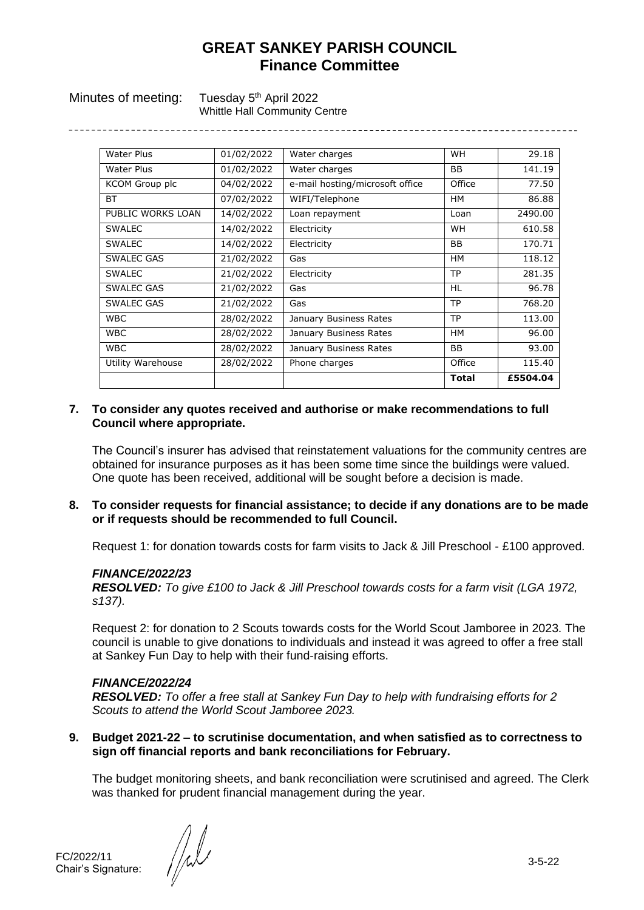Minutes of meeting: Tuesday 5<sup>th</sup> April 2022

Whittle Hall Community Centre

| <b>Water Plus</b> | 01/02/2022 | Water charges                   | <b>WH</b>    | 29.18    |
|-------------------|------------|---------------------------------|--------------|----------|
| Water Plus        | 01/02/2022 | Water charges                   | BB           | 141.19   |
| KCOM Group plc    | 04/02/2022 | e-mail hosting/microsoft office | Office       | 77.50    |
| ВT                | 07/02/2022 | WIFI/Telephone                  | HМ           | 86.88    |
| PUBLIC WORKS LOAN | 14/02/2022 | Loan repayment                  | Loan         | 2490.00  |
| <b>SWALEC</b>     | 14/02/2022 | Electricity                     | <b>WH</b>    | 610.58   |
| <b>SWALEC</b>     | 14/02/2022 | Electricity                     | BB           | 170.71   |
| SWALEC GAS        | 21/02/2022 | Gas                             | HМ           | 118.12   |
| <b>SWALEC</b>     | 21/02/2022 | Electricity                     | <b>TP</b>    | 281.35   |
| <b>SWALEC GAS</b> | 21/02/2022 | Gas                             | <b>HL</b>    | 96.78    |
| <b>SWALEC GAS</b> | 21/02/2022 | Gas                             | <b>TP</b>    | 768.20   |
| <b>WBC</b>        | 28/02/2022 | January Business Rates          | <b>TP</b>    | 113.00   |
| <b>WBC</b>        | 28/02/2022 | January Business Rates          | HМ           | 96.00    |
| <b>WBC</b>        | 28/02/2022 | January Business Rates          | BB           | 93.00    |
| Utility Warehouse | 28/02/2022 | Phone charges                   | Office       | 115.40   |
|                   |            |                                 | <b>Total</b> | £5504.04 |

### **7. To consider any quotes received and authorise or make recommendations to full Council where appropriate.**

The Council's insurer has advised that reinstatement valuations for the community centres are obtained for insurance purposes as it has been some time since the buildings were valued. One quote has been received, additional will be sought before a decision is made.

**8. To consider requests for financial assistance; to decide if any donations are to be made or if requests should be recommended to full Council.**

Request 1: for donation towards costs for farm visits to Jack & Jill Preschool - £100 approved.

# *FINANCE/2022/23*

*RESOLVED: To give £100 to Jack & Jill Preschool towards costs for a farm visit (LGA 1972, s137).*

Request 2: for donation to 2 Scouts towards costs for the World Scout Jamboree in 2023. The council is unable to give donations to individuals and instead it was agreed to offer a free stall at Sankey Fun Day to help with their fund-raising efforts.

#### *FINANCE/2022/24*

*RESOLVED: To offer a free stall at Sankey Fun Day to help with fundraising efforts for 2 Scouts to attend the World Scout Jamboree 2023.*

**9. Budget 2021-22 – to scrutinise documentation, and when satisfied as to correctness to sign off financial reports and bank reconciliations for February.**

The budget monitoring sheets, and bank reconciliation were scrutinised and agreed. The Clerk was thanked for prudent financial management during the year.

FC/2022/11  $\text{Chair's Signature:} \quad // \quad \text{O}$